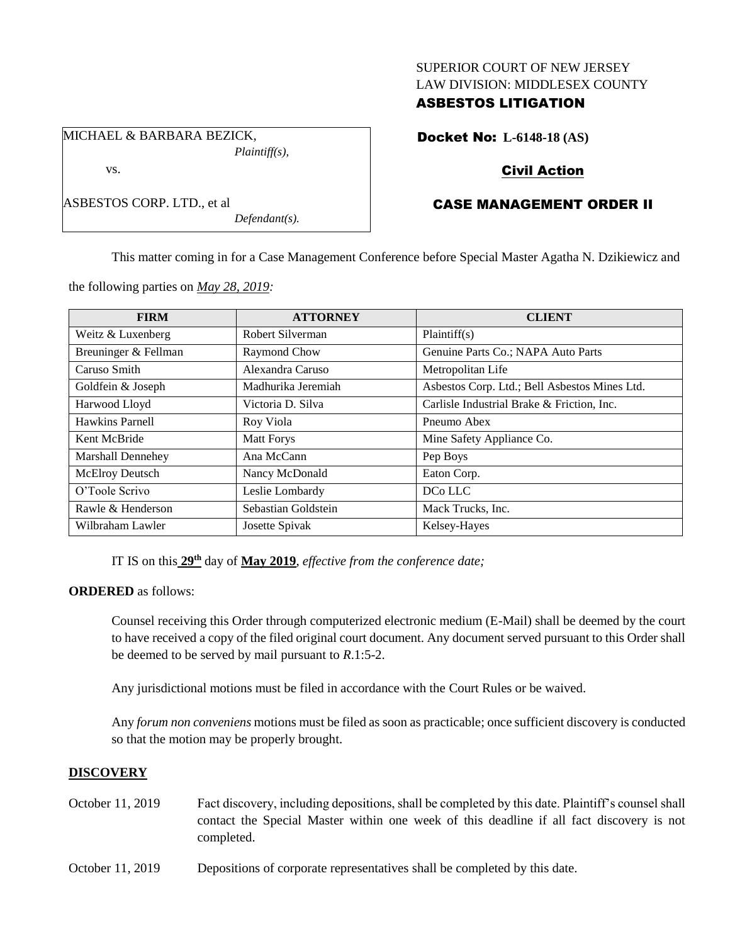### SUPERIOR COURT OF NEW JERSEY LAW DIVISION: MIDDLESEX COUNTY

### ASBESTOS LITIGATION

MICHAEL & BARBARA BEZICK, *Plaintiff(s),*

ASBESTOS CORP. LTD., et al

vs.

Docket No: **L-6148-18 (AS)**

# Civil Action

# CASE MANAGEMENT ORDER II

This matter coming in for a Case Management Conference before Special Master Agatha N. Dzikiewicz and

the following parties on *May 28, 2019:*

| <b>FIRM</b>              | <b>ATTORNEY</b>     | <b>CLIENT</b>                                 |
|--------------------------|---------------------|-----------------------------------------------|
| Weitz & Luxenberg        | Robert Silverman    | Plaintiff(s)                                  |
| Breuninger & Fellman     | Raymond Chow        | Genuine Parts Co.; NAPA Auto Parts            |
| Caruso Smith             | Alexandra Caruso    | Metropolitan Life                             |
| Goldfein & Joseph        | Madhurika Jeremiah  | Asbestos Corp. Ltd.; Bell Asbestos Mines Ltd. |
| Harwood Lloyd            | Victoria D. Silva   | Carlisle Industrial Brake & Friction, Inc.    |
| Hawkins Parnell          | Roy Viola           | Pneumo Abex                                   |
| Kent McBride             | <b>Matt Forys</b>   | Mine Safety Appliance Co.                     |
| <b>Marshall Dennehey</b> | Ana McCann          | Pep Boys                                      |
| McElroy Deutsch          | Nancy McDonald      | Eaton Corp.                                   |
| O'Toole Scrivo           | Leslie Lombardy     | DCo LLC                                       |
| Rawle & Henderson        | Sebastian Goldstein | Mack Trucks, Inc.                             |
| Wilbraham Lawler         | Josette Spivak      | Kelsey-Hayes                                  |

IT IS on this **29th** day of **May 2019**, *effective from the conference date;*

*Defendant(s).*

**ORDERED** as follows:

Counsel receiving this Order through computerized electronic medium (E-Mail) shall be deemed by the court to have received a copy of the filed original court document. Any document served pursuant to this Order shall be deemed to be served by mail pursuant to *R*.1:5-2.

Any jurisdictional motions must be filed in accordance with the Court Rules or be waived.

Any *forum non conveniens* motions must be filed as soon as practicable; once sufficient discovery is conducted so that the motion may be properly brought.

### **DISCOVERY**

- October 11, 2019 Fact discovery, including depositions, shall be completed by this date. Plaintiff's counsel shall contact the Special Master within one week of this deadline if all fact discovery is not completed.
- October 11, 2019 Depositions of corporate representatives shall be completed by this date.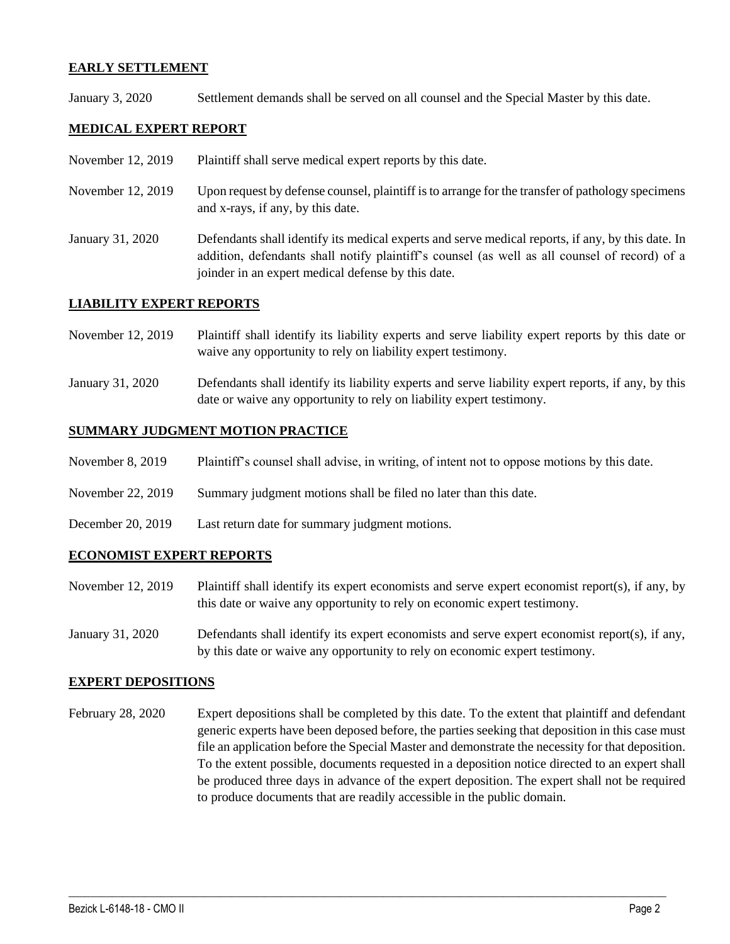### **EARLY SETTLEMENT**

January 3, 2020 Settlement demands shall be served on all counsel and the Special Master by this date.

### **MEDICAL EXPERT REPORT**

- November 12, 2019 Plaintiff shall serve medical expert reports by this date.
- November 12, 2019 Upon request by defense counsel, plaintiff is to arrange for the transfer of pathology specimens and x-rays, if any, by this date.
- January 31, 2020 Defendants shall identify its medical experts and serve medical reports, if any, by this date. In addition, defendants shall notify plaintiff's counsel (as well as all counsel of record) of a joinder in an expert medical defense by this date.

#### **LIABILITY EXPERT REPORTS**

- November 12, 2019 Plaintiff shall identify its liability experts and serve liability expert reports by this date or waive any opportunity to rely on liability expert testimony.
- January 31, 2020 Defendants shall identify its liability experts and serve liability expert reports, if any, by this date or waive any opportunity to rely on liability expert testimony.

#### **SUMMARY JUDGMENT MOTION PRACTICE**

- November 8, 2019 Plaintiff's counsel shall advise, in writing, of intent not to oppose motions by this date.
- November 22, 2019 Summary judgment motions shall be filed no later than this date.
- December 20, 2019 Last return date for summary judgment motions.

#### **ECONOMIST EXPERT REPORTS**

- November 12, 2019 Plaintiff shall identify its expert economists and serve expert economist report(s), if any, by this date or waive any opportunity to rely on economic expert testimony.
- January 31, 2020 Defendants shall identify its expert economists and serve expert economist report(s), if any, by this date or waive any opportunity to rely on economic expert testimony.

#### **EXPERT DEPOSITIONS**

February 28, 2020 Expert depositions shall be completed by this date. To the extent that plaintiff and defendant generic experts have been deposed before, the parties seeking that deposition in this case must file an application before the Special Master and demonstrate the necessity for that deposition. To the extent possible, documents requested in a deposition notice directed to an expert shall be produced three days in advance of the expert deposition. The expert shall not be required to produce documents that are readily accessible in the public domain.

 $\_$  , and the set of the set of the set of the set of the set of the set of the set of the set of the set of the set of the set of the set of the set of the set of the set of the set of the set of the set of the set of th